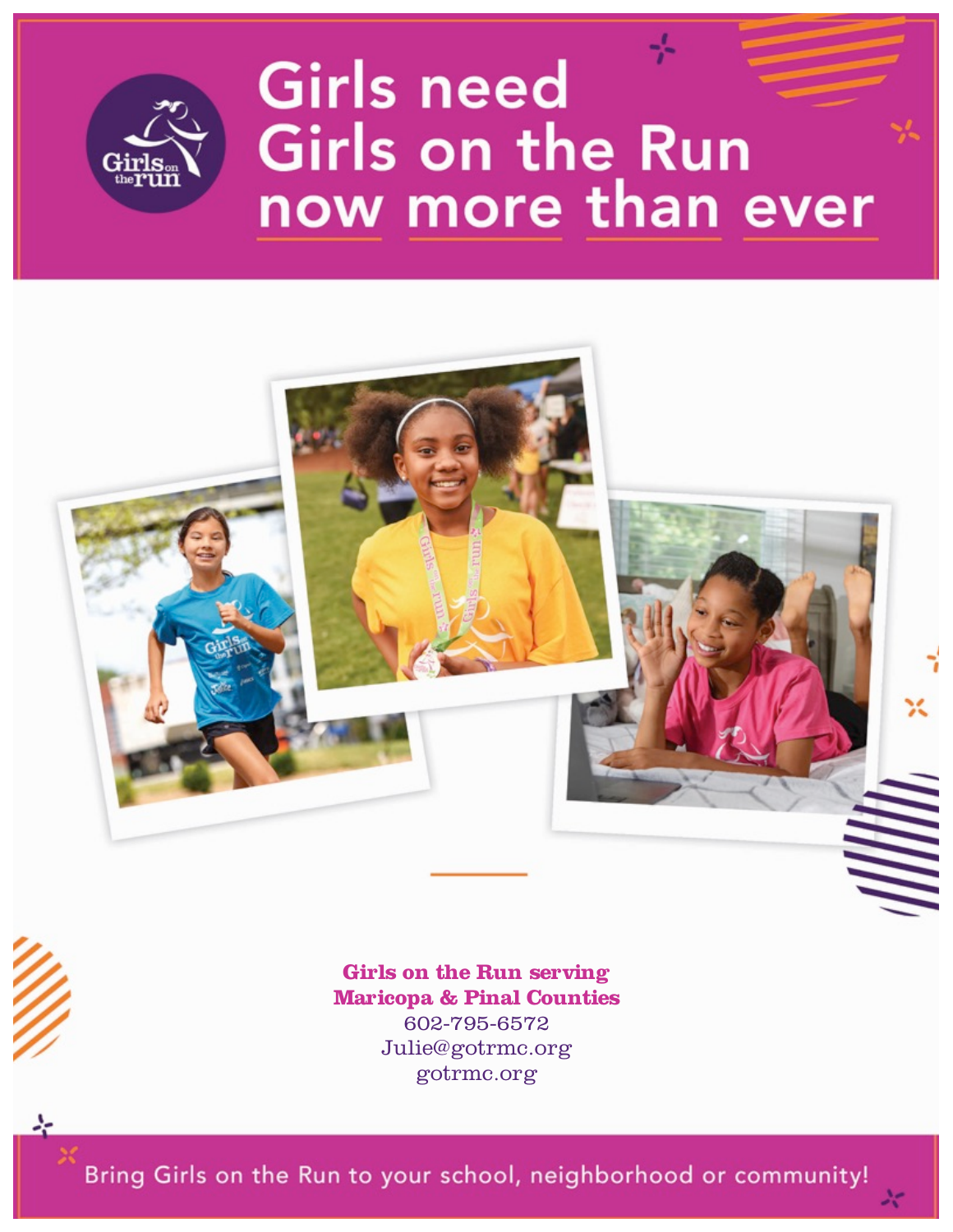

# **Girls need Girls on the Run** now more than ever





gotrmc.org

Bring Girls on the Run to your school, neighborhood or community!

*a little taller among their peers and how they solve problems, speak up and then aren't afraid*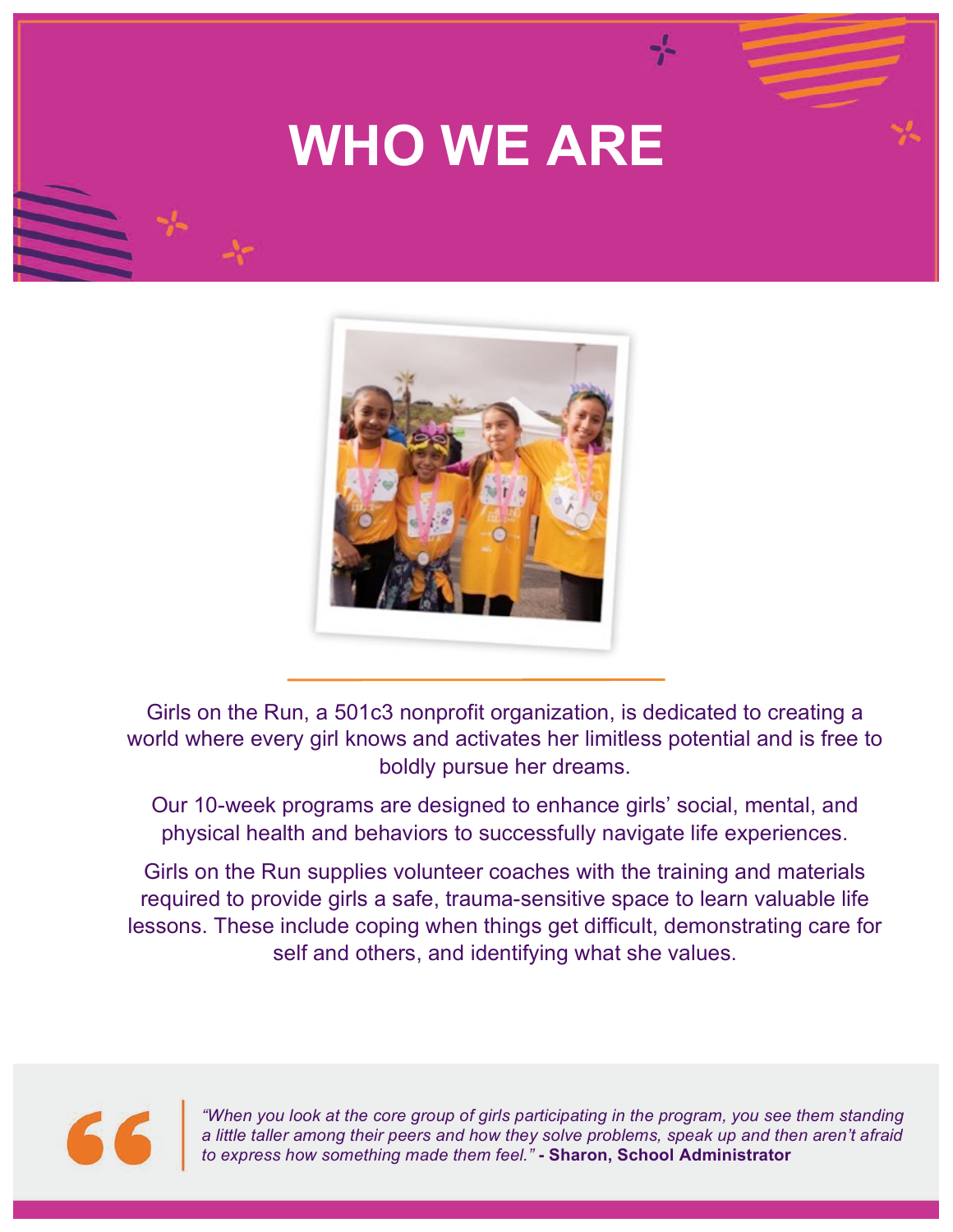## **WHO WE ARE**



Girls on the Run, a 501c3 nonprofit organization, is dedicated to creating a world where every girl knows and activates her limitless potential and is free to boldly pursue her dreams.

Our 10-week programs are designed to enhance girls' social, mental, and physical health and behaviors to successfully navigate life experiences.

Girls on the Run supplies volunteer coaches with the training and materials required to provide girls a safe, trauma-sensitive space to learn valuable life lessons. These include coping when things get difficult, demonstrating care for self and others, and identifying what she values.



*"When you look at the core group of girls participating in the program, you see them standing a little taller among their peers and how they solve problems, speak up and then aren't afraid to express how something made them feel."* **- Sharon, School Administrator**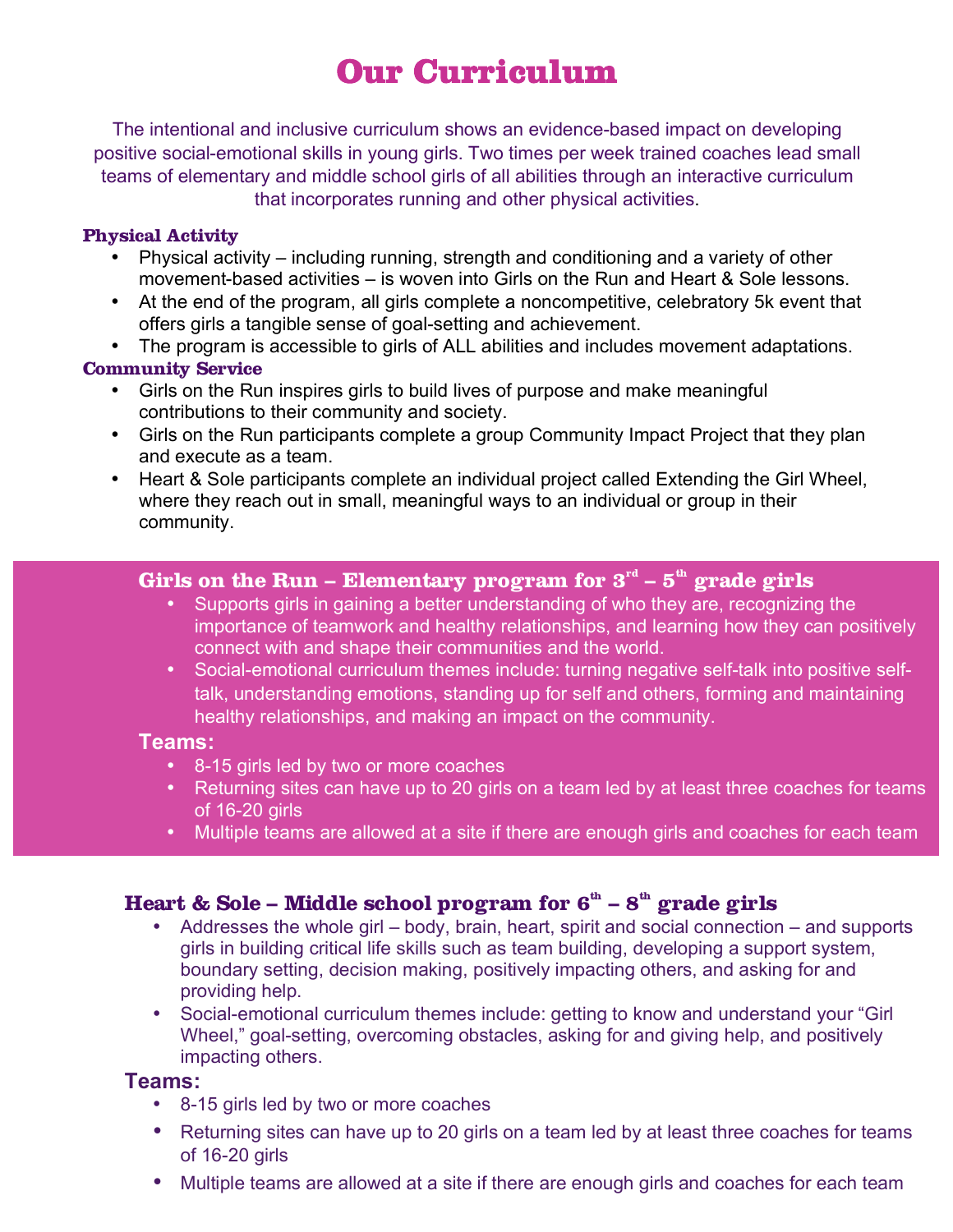## **Our Curriculum**

The intentional and inclusive curriculum shows an evidence-based impact on developing positive social-emotional skills in young girls. Two times per week trained coaches lead small teams of elementary and middle school girls of all abilities through an interactive curriculum that incorporates running and other physical activities.

#### **Physical Activity**

- Physical activity including running, strength and conditioning and a variety of other movement-based activities – is woven into Girls on the Run and Heart & Sole lessons.
- At the end of the program, all girls complete a noncompetitive, celebratory 5k event that offers girls a tangible sense of goal-setting and achievement.
- The program is accessible to girls of ALL abilities and includes movement adaptations.

#### **Community Service**

- Girls on the Run inspires girls to build lives of purpose and make meaningful contributions to their community and society.
- Girls on the Run participants complete a group Community Impact Project that they plan and execute as a team.
- Heart & Sole participants complete an individual project called Extending the Girl Wheel, where they reach out in small, meaningful ways to an individual or group in their community.

#### **Girls on the Run – Elementary program for 3rd – 5th grade girls**

- Supports girls in gaining a better understanding of who they are, recognizing the importance of teamwork and healthy relationships, and learning how they can positively connect with and shape their communities and the world.
- Social-emotional curriculum themes include: turning negative self-talk into positive selftalk, understanding emotions, standing up for self and others, forming and maintaining healthy relationships, and making an impact on the community.

#### **Teams:**

- 8-15 girls led by two or more coaches
- Returning sites can have up to 20 girls on a team led by at least three coaches for teams of 16-20 girls
- Multiple teams are allowed at a site if there are enough girls and coaches for each team

### **Heart & Sole – Middle school program for**  $\mathbf{6}^{\text{th}}$  **–**  $\mathbf{8}^{\text{th}}$  **grade girls**

- Addresses the whole girl body, brain, heart, spirit and social connection and supports girls in building critical life skills such as team building, developing a support system, boundary setting, decision making, positively impacting others, and asking for and providing help.
- Social-emotional curriculum themes include: getting to know and understand your "Girl Wheel," goal-setting, overcoming obstacles, asking for and giving help, and positively impacting others.

#### **Teams:**

- 8-15 girls led by two or more coaches
- Returning sites can have up to 20 girls on a team led by at least three coaches for teams of 16-20 girls
- Multiple teams are allowed at a site if there are enough girls and coaches for each team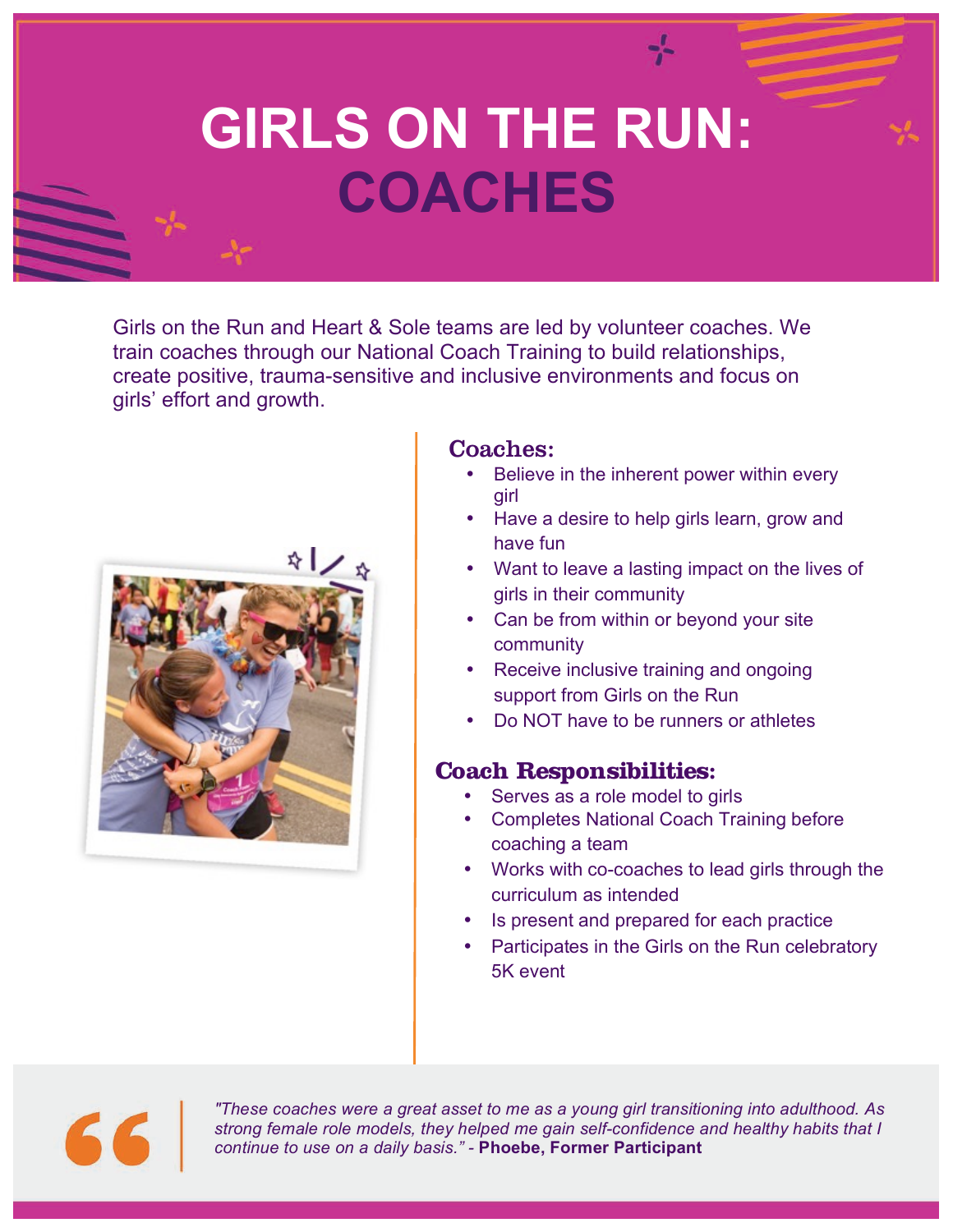# **GIRLS ON THE RUN: COACHES**

Girls on the Run and Heart & Sole teams are led by volunteer coaches. We train coaches through our National Coach Training to build relationships, create positive, trauma-sensitive and inclusive environments and focus on girls' effort and growth.



### Coaches:

- Believe in the inherent power within every girl
- Have a desire to help girls learn, grow and have fun
- Want to leave a lasting impact on the lives of girls in their community
- Can be from within or beyond your site community
- Receive inclusive training and ongoing support from Girls on the Run
- Do NOT have to be runners or athletes

### **Coach Responsibilities:**

- Serves as a role model to girls
- Completes National Coach Training before coaching a team
- Works with co-coaches to lead girls through the curriculum as intended
- Is present and prepared for each practice
- Participates in the Girls on the Run celebratory 5K event

66

*"These coaches were a great asset to me as a young girl transitioning into adulthood. As strong female role models, they helped me gain self-confidence and healthy habits that I continue to use on a daily basis." -* **Phoebe, Former Participant**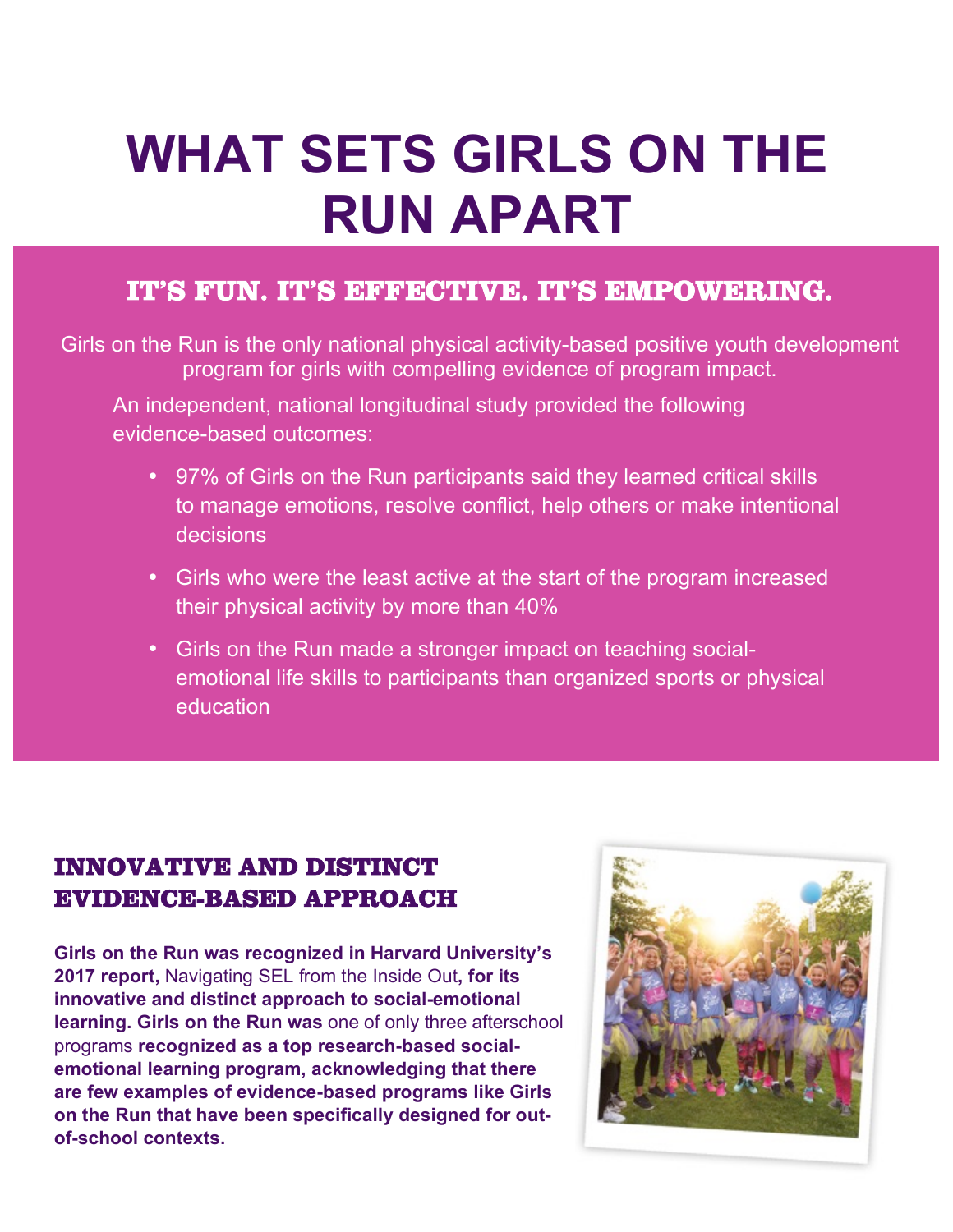# **WHAT SETS GIRLS ON THE RUN APART**

## **IT'S FUN. IT'S EFFECTIVE. IT'S EMPOWERING.**

Girls on the Run is the only national physical activity-based positive youth development program for girls with compelling evidence of program impact.

An independent, national longitudinal study provided the following evidence-based outcomes:

- 97% of Girls on the Run participants said they learned critical skills to manage emotions, resolve conflict, help others or make intentional decisions
- Girls who were the least active at the start of the program increased their physical activity by more than 40%
- Girls on the Run made a stronger impact on teaching socialemotional life skills to participants than organized sports or physical education

## **INNOVATIVE AND DISTINCT EVIDENCE-BASED APPROACH**

**Girls on the Run was recognized in Harvard University's 2017 report,** Navigating SEL from the Inside Out**, for its innovative and distinct approach to social-emotional learning. Girls on the Run was** one of only three afterschool programs **recognized as a top research-based socialemotional learning program, acknowledging that there are few examples of evidence-based programs like Girls on the Run that have been specifically designed for outof-school contexts.** 

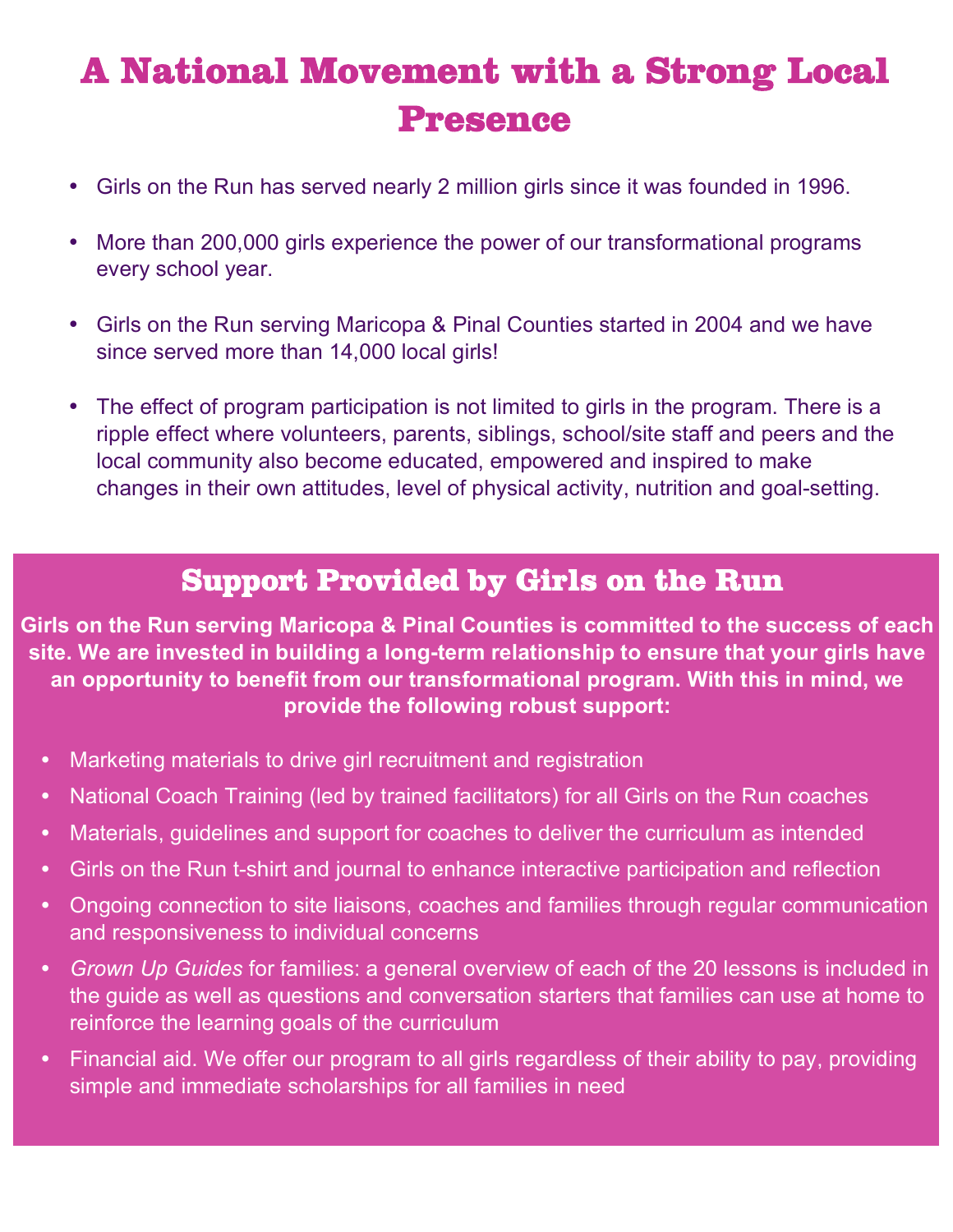## GIONAL MIOV<del>ement</del> with a Strong<br>Presence **A National Movement with a Strong Local Presence**

- Girls on the Run has served nearly 2 million girls since it was founded in 1996.
- More than 200,000 girls experience the power of our transformational programs every school year.
- Girls on the Run serving Maricopa & Pinal Counties started in 2004 and we have since served more than 14,000 local girls!
- The effect of program participation is not limited to girls in the program. There is a ripple effect where volunteers, parents, siblings, school/site staff and peers and the local community also become educated, empowered and inspired to make changes in their own attitudes, level of physical activity, nutrition and goal-setting.

## **Support Provided by Girls on the Run**

**Girls on the Run serving Maricopa & Pinal Counties is committed to the success of each site. We are invested in building a long-term relationship to ensure that your girls have an opportunity to benefit from our transformational program. With this in mind, we provide the following robust support:**

- **•** Marketing materials to drive girl recruitment and registration
- **•** National Coach Training (led by trained facilitators) for all Girls on the Run coaches
- **•** Materials, guidelines and support for coaches to deliver the curriculum as intended
- **•** Girls on the Run t-shirt and journal to enhance interactive participation and reflection
- **•** Ongoing connection to site liaisons, coaches and families through regular communication and responsiveness to individual concerns
- **•** *Grown Up Guides* for families: a general overview of each of the 20 lessons is included in the guide as well as questions and conversation starters that families can use at home to reinforce the learning goals of the curriculum
- **•** Financial aid. We offer our program to all girls regardless of their ability to pay, providing simple and immediate scholarships for all families in need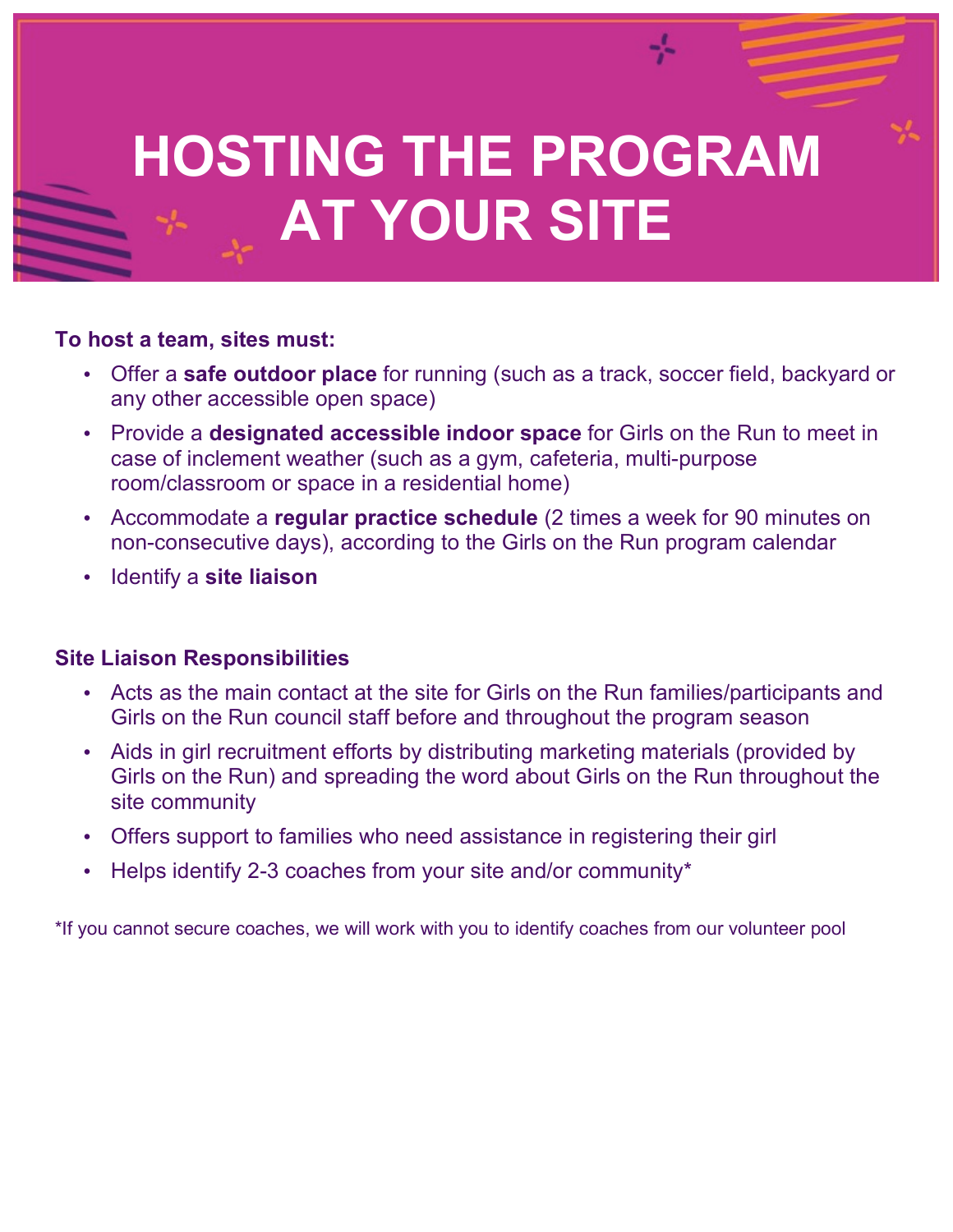# **GIRLS ON THE RUN HOSTING THE PROGRAM AT YOUR SITE**

### **To host a team, sites must:**

- Offer a **safe outdoor place** for running (such as a track, soccer field, backyard or any other accessible open space)
- Provide a **designated accessible indoor space** for Girls on the Run to meet in case of inclement weather (such as a gym, cafeteria, multi-purpose room/classroom or space in a residential home)
- Accommodate a **regular practice schedule** (2 times a week for 90 minutes on non-consecutive days), according to the Girls on the Run program calendar
- Identify a **site liaison**

### **Site Liaison Responsibilities**

- Acts as the main contact at the site for Girls on the Run families/participants and Girls on the Run council staff before and throughout the program season
- Aids in girl recruitment efforts by distributing marketing materials (provided by Girls on the Run) and spreading the word about Girls on the Run throughout the site community
- Offers support to families who need assistance in registering their girl
- Helps identify 2-3 coaches from your site and/or community\*

\*If you cannot secure coaches, we will work with you to identify coaches from our volunteer pool